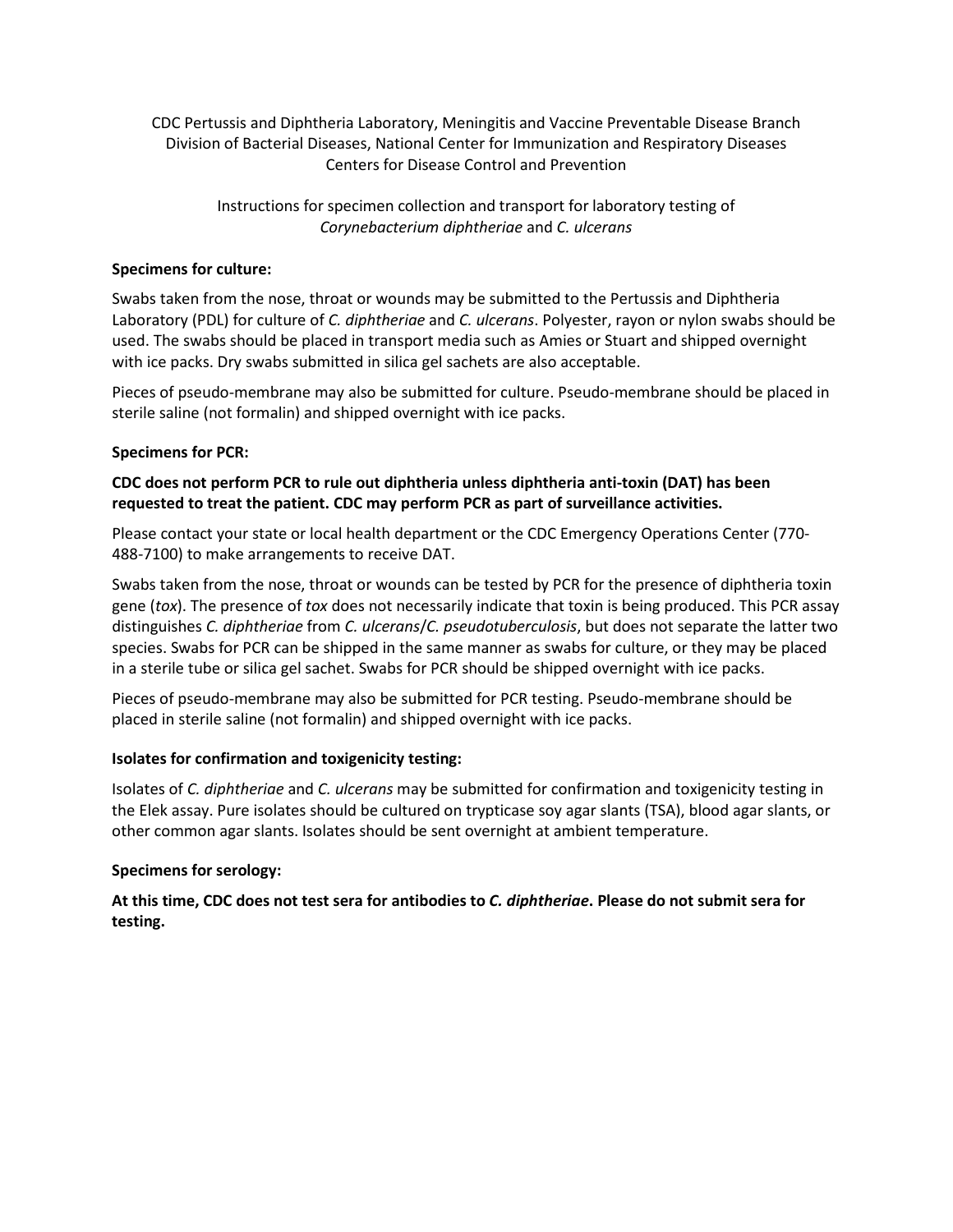CDC Pertussis and Diphtheria Laboratory, Meningitis and Vaccine Preventable Disease Branch Division of Bacterial Diseases, National Center for Immunization and Respiratory Diseases Centers for Disease Control and Prevention

> Instructions for specimen collection and transport for laboratory testing of *Corynebacterium diphtheriae* and *C. ulcerans*

### **Specimens for culture:**

Swabs taken from the nose, throat or wounds may be submitted to the Pertussis and Diphtheria Laboratory (PDL) for culture of *C. diphtheriae* and *C. ulcerans*. Polyester, rayon or nylon swabs should be used. The swabs should be placed in transport media such as Amies or Stuart and shipped overnight with ice packs. Dry swabs submitted in silica gel sachets are also acceptable.

Pieces of pseudo-membrane may also be submitted for culture. Pseudo-membrane should be placed in sterile saline (not formalin) and shipped overnight with ice packs.

## **Specimens for PCR:**

# **CDC does not perform PCR to rule out diphtheria unless diphtheria anti-toxin (DAT) has been requested to treat the patient. CDC may perform PCR as part of surveillance activities.**

Please contact your state or local health department or the CDC Emergency Operations Center (770- 488-7100) to make arrangements to receive DAT.

Swabs taken from the nose, throat or wounds can be tested by PCR for the presence of diphtheria toxin gene (*tox*). The presence of *tox* does not necessarily indicate that toxin is being produced. This PCR assay distinguishes *C. diphtheriae* from *C. ulcerans*/*C. pseudotuberculosis*, but does not separate the latter two species. Swabs for PCR can be shipped in the same manner as swabs for culture, or they may be placed in a sterile tube or silica gel sachet. Swabs for PCR should be shipped overnight with ice packs.

Pieces of pseudo-membrane may also be submitted for PCR testing. Pseudo-membrane should be placed in sterile saline (not formalin) and shipped overnight with ice packs.

#### **Isolates for confirmation and toxigenicity testing:**

Isolates of *C. diphtheriae* and *C. ulcerans* may be submitted for confirmation and toxigenicity testing in the Elek assay. Pure isolates should be cultured on trypticase soy agar slants (TSA), blood agar slants, or other common agar slants. Isolates should be sent overnight at ambient temperature.

#### **Specimens for serology:**

**At this time, CDC does not test sera for antibodies to** *C. diphtheriae***. Please do not submit sera for testing.**